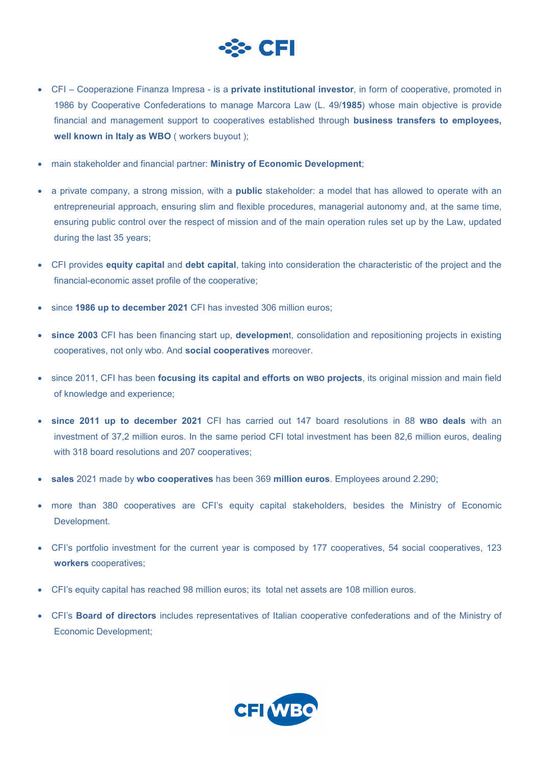

- CFI Cooperazione Finanza Impresa is a **private institutional investor**, in form of cooperative, promoted in 1986 by Cooperative Confederations to manage Marcora Law (L. 49/**1985**) whose main objective is provide financial and management support to cooperatives established through **business transfers to employees, well known in Italy as WBO** ( workers buyout );
- main stakeholder and financial partner: **Ministry of Economic Development**;
- a private company, a strong mission, with a **public** stakeholder: a model that has allowed to operate with an entrepreneurial approach, ensuring slim and flexible procedures, managerial autonomy and, at the same time, ensuring public control over the respect of mission and of the main operation rules set up by the Law, updated during the last 35 years;
- CFI provides **equity capital** and **debt capital**, taking into consideration the characteristic of the project and the financial-economic asset profile of the cooperative;
- since **1986 up to december 2021** CFI has invested 306 million euros;
- **since 2003** CFI has been financing start up, **developmen**t, consolidation and repositioning projects in existing cooperatives, not only wbo. And **social cooperatives** moreover.
- since 2011, CFI has been **focusing its capital and efforts on WBO projects**, its original mission and main field of knowledge and experience;
- **since 2011 up to december 2021** CFI has carried out 147 board resolutions in 88 **WBO deals** with an investment of 37,2 million euros. In the same period CFI total investment has been 82,6 million euros, dealing with 318 board resolutions and 207 cooperatives:
- **sales** 2021 made by **wbo cooperatives** has been 369 **million euros**. Employees around 2.290;
- more than 380 cooperatives are CFI's equity capital stakeholders, besides the Ministry of Economic Development.
- CFI's portfolio investment for the current year is composed by 177 cooperatives, 54 social cooperatives, 123 **workers** cooperatives;
- CFI's equity capital has reached 98 million euros; its total net assets are 108 million euros.
- CFI's **Board of directors** includes representatives of Italian cooperative confederations and of the Ministry of Economic Development;